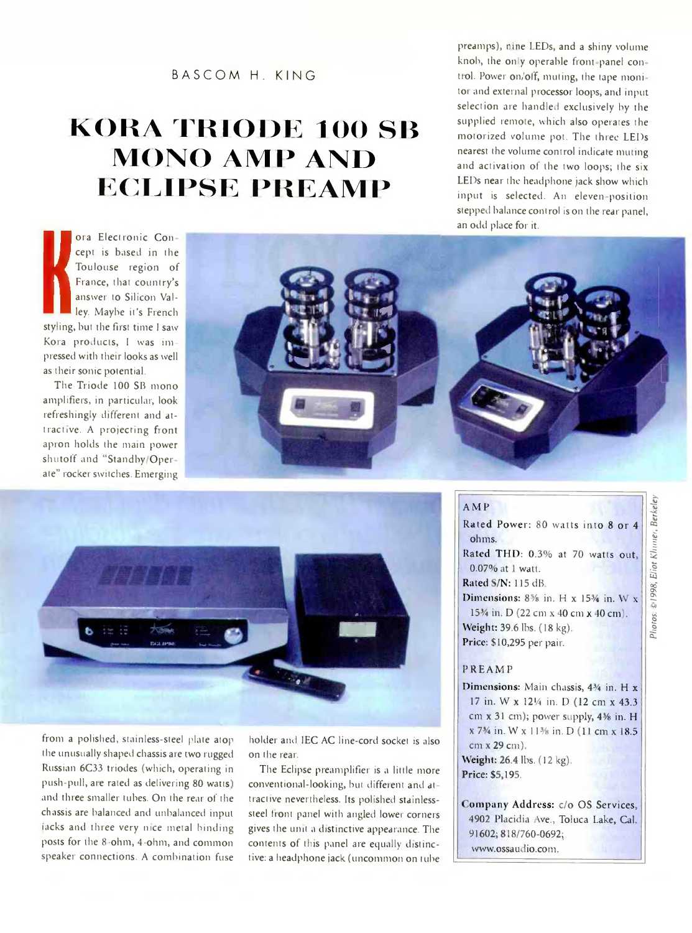#### BASCOM H. KING

## **KORA TRIODE 100 SB MONO AMP AND EGEIPSE PREAMP**

ora Electronic Con<br>
cept is based in the<br>
Toulouse region of<br>
France, that country'<br>
answer to Silicon Val<br>
ley. Maybe it's Frencl<br>
styling, but the first time I saw<br>
Kora products, I was im ora Electronic Con cept is based in the Toulouse region of France, that country's answer to Silicon Valley. Maybe it's French styling, but the first time l saw pressed with their looks as well as their sonic potential.

The Triode 100 SB mono amplifiers, in particular, look refreshingly different and attractive. A projecting front apron holds the main power shutoff and "Standby Oper ate" rocker switches. Emerging





from a polished, stainless-steel plate atop the unusually shaped chassis are two rugged Russian 6C33 triodes (which, operating in push-pull, are rated as delivering 80 watts). and three smaller tubes. On the rear of the chassis are balanced and unbalanced input nicks and three very nice metal binding posts for the 8 -ohm, 4-ohm, and common speaker connections. A combination fuse

holder and IEC AC line-cord socket is also on the rear.

The Eclipse preamplifier is a little more conventional-looking, but different and at tractive nevertheless. Its polished stainlesssteel front panel with angled lower corners gives the unit a distinctive appearance. The contents of this panel are equally distinctive: a headphone jack (uncommon on tube

### AMP

Rated Power: 80 watts into 8 or 4 ohms. Rated THD: 0.3% at 70 watts out. 0.07% at 1 watt. Rated S/N: 115 dB Dimensions:  $8\frac{5}{8}$  in. H x 15<sup>3</sup>/<sub>4</sub> in. W x 15<sup>3</sup>/<sub>4</sub> in. D (22 cm x 40 cm x 40 cm). Weight: 39.6 lbs. (18 kg). Price: \$10,295 per pair.

preamps), nine LEDs, and a shiny volume knob, the only operable front panel con trol. Power on/off, muting, the tape monitor and external processor loops, and input selection are handled exclusively by the supplied remote, which also operates the motorized volume pot. The three LEDs nearest the volume control indicate muting and activation of the two loops; the six LEDs near the headphone jack show which input is selected. An eleven-position stepped balance control is on the rear panel,

#### PREAMP

Dimensions: Main chassis, 434 in. H x 17 in. W x 121/4 in. D (12 cm x 43.3) cm x 31 cm); power supply, 4% in. H x 7<sup>3</sup>/<sub>4</sub> in. W x 11<sup>3</sup>/<sub>8</sub> in. D (11 cm x 18.5) cm x 29 cm). Weight: 26.4 lbs. (12 kg). Price: \$5,195.

Company Address: c/o OS Services, 4902 Placidia Ave., Toluca Lake, Cal. 91602; 818/760-0692; www.ossaudio.com.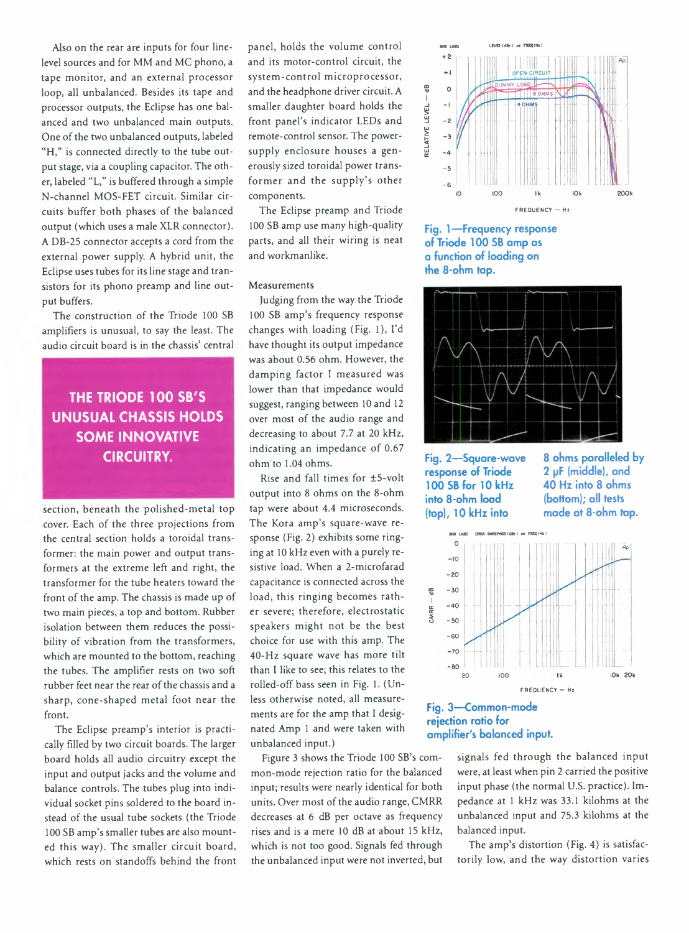level sources and for MM and MC phono, a tape monitor, and an external processor loop, all unbalanced. Besides its tape and processor outputs, the Eclipse has one balanced and two unbalanced main outputs. One of the two unbalanced outputs, labeled "H," is connected directly to the tube output stage, via a coupling capacitor. The other, labeled "L," is buffered through a simple N-channel MOS-FET circuit. Similar circuits buffer both phases of the balanced output (which uses a male XLR connector). A DB-25 connector accepts a cord from the external power supply. A hybrid unit, the Eclipse uses tubes for its line stage and transistors for its phono preamp and line output buffers.

The construction of the Triode 100 SB amplifiers is unusual, to say the least. The audio circuit board is in the chassis' central

## **THE TRIODE 100 SB'S UNUSUAL CHASSIS HOLDS SOME INNOVATIVE CIRCUITRY.**

section, beneath the polished-metal top cover. Each of the three projections from the central section holds a toroidal transformer: the main power and output transformers at the extreme left and right, the transformer for the tube heaters toward the front of the amp. The chassis is made up of two main pieces, a top and bottom. Rubber isolation between them reduces the possibility of vibration from the transformers, which are mounted to the bottom, reaching the tubes. The amplifier rests on two soft rubber feet near the rear of the chassis and a sharp, cone-shaped metal foot near the front.

The Eclipse preamp's interior is practically filled by two circuit boards. The larger board holds all audio circuitry except the input and output jacks and the volume and balance controls. The tubes plug into individual socket pins soldered to the board instead of the usual tube sockets (the Triode 100 SB amp's smaller tubes are also mounted this way). The smaller circuit board, which rests on standoffs behind the front

Also on the rear are inputs for four line-<br>panel, holds the volume control  $\frac{1}{2}$ panel, holds the volume control and its motor-control circuit, the system-control microprocessor, and the headphone driver circuit. A smaller daughter board holds the front panel's indicator LEDs and remote-control sensor. The powersupply enclosure houses a generously sized toroidal power transformer and the supply's other components.

> The Eclipse preamp and Triode 100 SB amp use many high-quality parts, and all their wiring is neat and workmanlike.

#### Measurements

Judging from the way the Triode 100 SB amp's frequency response changes with loading (Fig. 1), I'd have thought its output impedance was about 0.56 ohm. However, the damping factor I measured was lower than that impedance would suggest, ranging between 10 and 12 over most of the audio range and decreasing to about 7.7 at 20 kHz, indicating an impedance of 0.67 ohm to 1.04 ohms.

Rise and fall times for ±5-volt output into 8 ohms on the 8-ohm tap were about 4.4 microseconds. The Kora amp's square-wave response (Fig. 2) exhibits some ringing at 10 kHz even with a purely resistive load. When a 2-microfarad capacitance is connected across the load, this ringing becomes rather severe; therefore, electrostatic speakers might not be the best choice for use with this amp. The 40-Hz square wave has more tilt than I like to see; this relates to the rolled-off bass seen in Fig. 1. (Unless otherwise noted, all measurements are for the amp that I designated Amp 1 and were taken with unbalanced input.)

Figure 3 shows the Triode 100 SB's common-mode rejection ratio for the balanced input; results were nearly identical for both units. Over most of the audio range, CMRR decreases at 6 dB per octave as frequency rises and is a mere 10 dB at about 15 kHz, which is not too good. Signals fed through the unbalanced input were not inverted, but



**Fig. 1— Frequency response of Triode 100 SB amp as a function of loading on the 8-ohm tap.**



**Fig. 2— Square-wave response of Triode 100 SB for 10 kHz into 8-ohm load (top), 10 kHz into**

**8 ohms paralleled by 2 pF (middle), and 40 Hz into 8 ohms (bottom); all tests made at 8-ohm tap.**



#### **Fig. 3— Common-mode rejection ratio for amplifier's balanced input.**

signals fed through the balanced input were, at least when pin 2 carried the positive input phase (the normal U.S. practice). Impedance at 1 kHz was 33.1 kilohms at the unbalanced input and 75.3 kilohms at the balanced input.

The amp's distortion (Fig. 4) is satisfactorily low, and the way distortion varies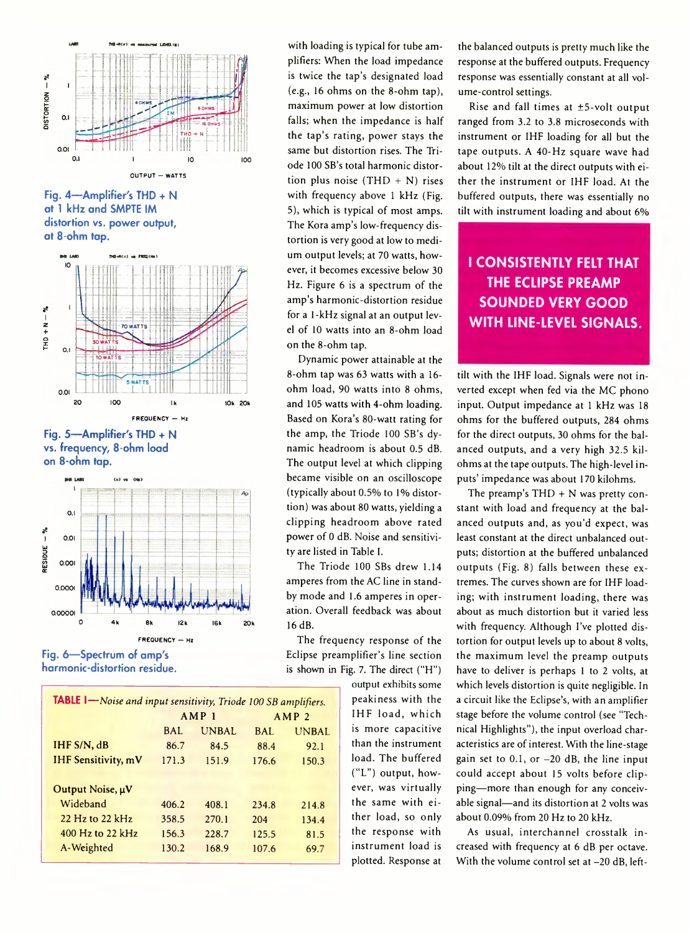

**Fig. 4— Amplifier's THD + N at 1 kHz and SMPTE IM distortion vs. power output, at 8-ohm tap.**



**Fig. 5— Amplifier's THD + N vs. frequency, 8-ohm load on 8-ohm tap.**



**Fig. 6— Spectrum of amp's harmonic-distortion residue.**

| <b>TABLE I</b> -Noise and input sensitivity, Triode 100 SB amplifiers. |                  |       |                  |       |  |
|------------------------------------------------------------------------|------------------|-------|------------------|-------|--|
|                                                                        | AMP <sub>1</sub> |       | AMP <sub>2</sub> |       |  |
|                                                                        | BAL.             | UNBAL | BAL.             | UNBAL |  |
| IHF S/N, dB                                                            | 86.7             | 84.5  | 88.4             | 92.1  |  |
| <b>IHF Sensitivity, mV</b>                                             | 171.3            | 151.9 | 176.6            | 150.3 |  |
|                                                                        |                  |       |                  |       |  |
| Output Noise, µV                                                       |                  |       |                  |       |  |
| Wideband                                                               | 406.2            | 408.1 | 234.8            | 214.8 |  |
| $22$ Hz to $22$ kHz                                                    | 358.5            | 270.1 | 204              | 134.4 |  |
| 400 Hz to 22 kHz                                                       | 156.3            | 228.7 | 125.5            | 81.5  |  |
| A-Weighted                                                             | 130.2            | 168.9 | 107.6            | 69.7  |  |
|                                                                        |                  |       |                  |       |  |

with loading is typical for tube amplifiers: When the load impedance is twice the tap's designated load (e.g., 16 ohms on the 8-ohm tap), maximum power at low distortion falls; when the impedance is half the tap's rating, power stays the same but distortion rises. The Triode 100 SB's total harmonic distortion plus noise  $(THD + N)$  rises with frequency above 1 kHz (Fig. 5), which is typical of most amps. The Kora amp's low-frequency distortion is very good at low to medium output levels; at 70 watts, however, it becomes excessive below 30 Hz. Figure 6 is a spectrum of the amp's harmonic-distortion residue for a 1-kHz signal at an output level of 10 watts into an 8-ohm load on the 8-ohm tap.

Dynamic power attainable at the 8-ohm tap was 63 watts with a 16 ohm load, 90 watts into 8 ohms, and 105 watts with 4-ohm loading. Based on Kora's 80-watt rating for the amp, the Triode 100 SB's dynamic headroom is about 0.5 dB. The output level at which clipping became visible on an oscilloscope (typically about 0.5% to 1% distortion) was about 80 watts, yielding a clipping headroom above rated power of 0 dB. Noise and sensitivity are listed in Table I.

The Triode 100 SBs drew 1.14 amperes from the AC line in standby mode and 1.6 amperes in operation. Overall feedback was about 16 dB.

The frequency response of the Eclipse preamplifier's line section is shown in Fig. 7. The direct ("H")

> output exhibits some peakiness with the IHF load, which is more capacitive than the instrument load. The buffered ("L") output, however, was virtually the same with either load, so only the response with instrument load is plotted. Response at

the balanced outputs is pretty much like the response at the buffered outputs. Frequency response was essentially constant at all volume-control settings.

Rise and fall times at ±5-volt output ranged from 3.2 to 3.8 microseconds with instrument or IHF loading for all but the tape outputs. A 40-Hz square wave had about 12% tilt at the direct outputs with either the instrument or IHF load. At the buffered outputs, there was essentially no tilt with instrument loading and about 6%

## **I CONSISTENTLY FELT THAT THE ECLIPSE PREAMP SOUNDED VERY GOOD WITH LINE-LEVEL SIGNALS.**

tilt with the IHF load. Signals were not inverted except when fed via the MC phono input. Output impedance at 1 kHz was 18 ohms for the buffered outputs, 284 ohms for the direct outputs, 30 ohms for the balanced outputs, and a very high 32.5 kilohms at the tape outputs. The high-level inputs' impedance was about 170 kilohms.

The preamp's  $THD + N$  was pretty constant with load and frequency at the balanced outputs and, as you'd expect, was least constant at the direct unbalanced outputs; distortion at the buffered unbalanced outputs (Fig. 8) falls between these extremes. The curves shown are for IHF loading; with instrument loading, there was about as much distortion but it varied less with frequency. Although I've plotted distortion for output levels up to about 8 volts, the maximum level the preamp outputs have to deliver is perhaps 1 to 2 volts, at which levels distortion is quite negligible. In a circuit like the Eclipse's, with an amplifier stage before the volume control (see "Technical Highlights"), the input overload characteristics are of interest. With the line-stage gain set to 0.1, or -20 dB, the line input could accept about 15 volts before clipping—more than enough for any conceivable signal—and its distortion at 2 volts was about 0.09% from 20 Hz to 20 kHz.

As usual, interchannel crosstalk increased with frequency at 6 dB per octave. With the volume control set at -20 dB, left-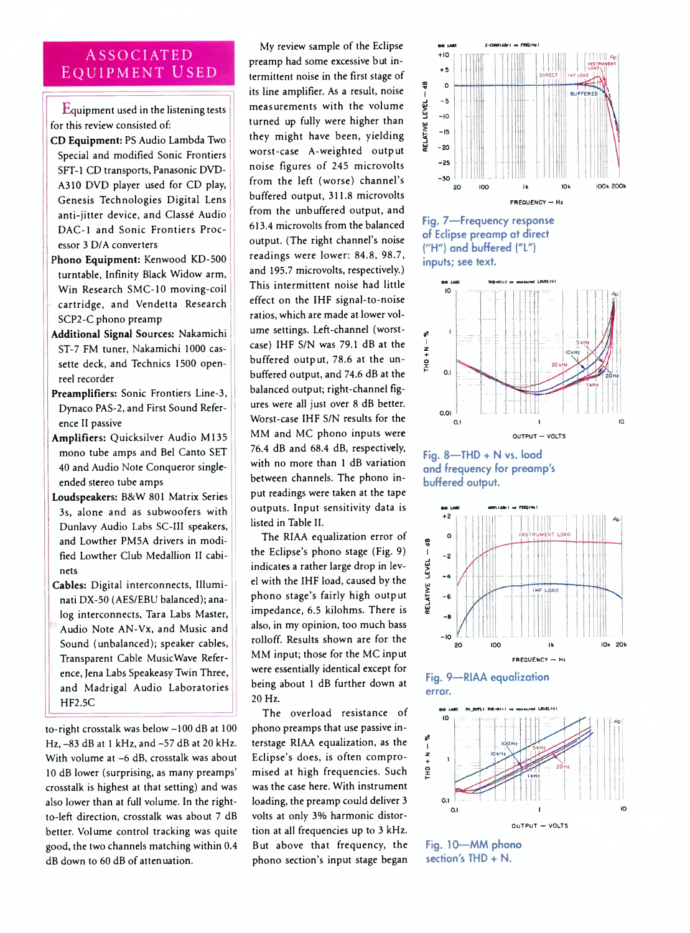# Equipment used

Equipment used in the listening tests for this review consisted of:

- CD Equipment: PS Audio Lambda Two Special and modified Sonic Frontiers SFT-1 CD transports, Panasonic DVD-A310 DVD player used for CD play, Genesis Technologies Digital Lens anti-jitter device, and Classé Audio DAC-1 and Sonic Frontiers Processor 3 D/A converters
- Phono Equipment: Kenwood KD-500 turntable, Infinity Black Widow arm, Win Research SMC-10 moving-coil cartridge, and Vendetta Research SCP2-C phono preamp
- Additional Signal Sources: Nakamichi ST-7 FM tuner, Nakamichi 1000 cassette deck, and Technics 1500 openreel recorder
- Preamplifiers: Sonic Frontiers Line-3, Dynaco PAS-2, and First Sound Reference II passive
- Amplifiers: Quicksilver Audio M135 mono tube amps and Bel Canto SET 40 and Audio Note Conqueror singleended stereo tube amps
- Loudspeakers: B&W 801 Matrix Series 3s, alone and as subwoofers with Dunlavy Audio Labs SC-III speakers, and Lowther PM5A drivers in modified Lowther Club Medallion II cabinets
- Cables: Digital interconnects, Illuminati DX-50 (AES/EBU balanced); analog interconnects, Tara Labs Master, Audio Note AN-Vx, and Music and Sound (unbalanced); speaker cables, Transparent Cable MusicWave Reference, Jena Labs Speakeasy Twin Three, and Madrigal Audio Laboratories HF2.5C

to-right crosstalk was below -100 dB at 100 Hz, -83 dB at 1 kHz, and -57 dB at 20 kHz. With volume at -6 dB, crosstalk was about 10 dB lower (surprising, as many preamps' crosstalk is highest at that setting) and was also lower than at full volume. In the rightto-left direction, crosstalk was about 7 dB better. Volume control tracking was quite good, the two channels matching within 0.4 dB down to 60 dB of attenuation.

ASSOCIATED My review sample of the Eclipse and the some states and the some states of the some states of the some states of the some states of the some states of the some states of the some states of the some states of the My review sample of the Eclipse termittent noise in the first stage of its line amplifier. As a result, noise measurements with the volume turned up fully were higher than they might have been, yielding worst-case A-weighted output noise figures of 245 microvolts from the left (worse) channel's buffered output, 311.8 microvolts from the unbuffered output, and 613.4 microvolts from the balanced output. (The right channel's noise readings were lower: 84.8, 98.7, and 195.7 microvolts, respectively.) This intermittent noise had little effect on the IHF signal-to-noise ratios, which are made at lower volume settings. Left-channel (worstcase) IHF S/N was 79.1 dB at the buffered output, 78.6 at the unbuffered output, and 74.6 dB at the balanced output; right-channel figures were all just over 8 dB better. Worst-case IHF S/N results for the MM and MC phono inputs were 76.4 dB and 68.4 dB, respectively, with no more than 1 dB variation between channels. The phono input readings were taken at the tape outputs. Input sensitivity data is listed in Table II.

> The RIAA equalization error of the Eclipse's phono stage (Fig. 9) indicates a rather large drop in level with the IHF load, caused by the phono stage's fairly high output impedance, 6.5 kilohms. There is also, in my opinion, too much bass rolloff. Results shown are for the MM input; those for the MC input were essentially identical except for being about 1 dB further down at 20 Hz.

> The overload resistance of phono preamps that use passive interstage RIAA equalization, as the Eclipse's does, is often compromised at high frequencies. Such was the case here. With instrument loading, the preamp could deliver 3 volts at only 3% harmonic distortion at all frequencies up to 3 kHz. But above that frequency, the phono section's input stage began



**Fig. 7— Frequency response of Eclipse preamp at direct ("H") and buffered ("L") inputs; see text.**



**Fig. 8—THD + N vs. load and frequency for preamp's buffered output.**

![](_page_3_Figure_17.jpeg)

**Fig. 9— RIAA equalization error.**

![](_page_3_Figure_19.jpeg)

**Fig. 10— MM phono section's THD + N.**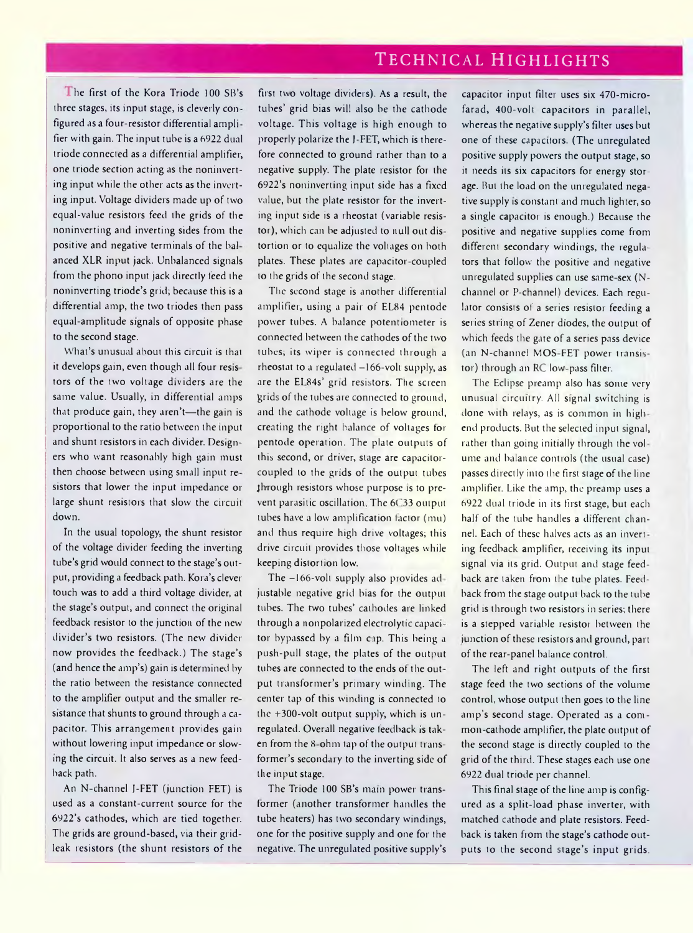## Technical Highlights

The first of the Kora Triode 100 SB's three stages, its input stage, is cleverly con figured as a four-resistor differential amplifier with gain. The input tube is a 6922 dual triode connected as a differential amplifier, one triode section acting as the noninverting input while the other acts as the inverting input. Voltage dividers made up of two equal-value resistors feed the grids of the noninverting and inverting sides from the positive and negative terminals of the bal anced XLR input jack. Unbalanced signals from the phono input jack directly feed the noninverting triode's grid; because this is a differential amp, the two triodes then pass equal-amplitude signals of opposite phase to the second stage.

What's unusual about this circuit is that it develops gain, even though all four resis tors of the two voltage dividers are the same value. Usually, in differential amps that produce gain, they aren't—the gain is proportional to the ratio between the input and shunt resistors in each divider. Designers who want reasonably high gain must then choose between using small input re sistors that lower the input impedance or large shunt resistors that slow the circuit down.

In the usual topology, the shunt resistor of the voltage divider feeding the inverting tube's grid would connect to the stage's output, providing a feedback path. Kora's clever touch was to add a third voltage divider, at the stage's output, and connect the original feedback resistor to the junction of the new divider's two resistors. (The new divider now provides the feedback.) The stage's (and hence the amp's) gain is determined by the ratio between the resistance connected to the amplifier output and the smaller re sistance that shunts to ground through a capacitor. This arrangement provides gain without lowering input impedance or slowing the circuit. It also serves as a new feedback path.

An N-channel J-FET (junction FET) is used as a constant-current source for the 6922's cathodes, which are tied together. The grids are ground-based, via their gridleak resistors (the shunt resistors of the

first two voltage dividers). As a result, the tubes' grid bias will also be the cathode voltage. This voltage is high enough to properly polarize the J-FET, which is therefore connected to ground rather than to a negative supply. The plate resistor for the 6922's noninverting input side has a fixed value, but the plate resistor for the inverting input side is a rheostat (variable resistor), which can be adjusted to null out dis tortion or to equalize the voltages on both plates. These plates are capacitor coupled to the grids of the second stage.

The second stage is another differential amplifier, using a pair of EL84 pentode power tubes. A balance potentiometer is connected between the cathodes of the two tubes; its wiper is connected through a rheostat to a regulated  $-166$ -volt supply, as are the El 84s' grid resistors. The screen grids of the tubes are connected to ground, and the cathode voltage is below ground, creating the right balance of voltages for pentode operation. The plate outputs of this second, or driver, stage are capacitorcoupled to the grids of the output tubes through resistors whose purpose is to prevent parasitic oscillation. The 6C33 output tubes have a low amplification factor (mu) and thus require high drive voltages; this drive circuit provides those voltages while keeping distortion low.

The -166-volt supply also provides adjustable negative grid bias for the output tubes. The two tubes' cathodes are linked through a nonpolarized electrolytic capaci tor bypassed by a film cap. This being a push-pull stage, the plates of the output tubes are connected to the ends of the out put transformer's primary winding. The center tap of this winding is connected to the +300-volt output supply, which is unregulated. Overall negative feedback is taken from the 8-ohm tap of the output transformer's secondary to the inverting side of the input stage.

The Triode 100 SB's main power transformer (another transformer handles the tube heaters) has two secondary windings, one for the positive supply and one for the negative. The unregulated positive supply's

capacitor input filter uses six 470-microfarad, 400-volt capacitors in parallel, whereas the negative supply's filter uses but one of these capacitors. (The unregulated positive supply powers the output stage, so it needs its six capacitors for energy storage. But the load on the unregulated negative supply is constant and much lighter, so a single capacitor is enough.) Because the positive and negative supplies come from different secondary windings, the regulators that follow' the positive and negative unregulated supplies can use same-sex (Nchannel or P-channel) devices. Each regulator consists of a series resistor feeding a series string of Zener diodes, the output of which feeds the gate of a series pass device (an N-channel MOS-FET power transistor) through an RC low-pass filter.

The Eclipse preamp also has some very unusual circuitry. All signal switching is done with relays, as is common in highend products. But the selected input signal, rather than going initially through the vol ume and balance controls (the usual case) passes directly into the first stage of the line amplifier. Like the amp, the preamp uses a 6922 dual triode in its first stage, but each half of the tube handles a different channel. Each of these halves acts as an invert ing feedback amplifier, receiving its input signal via its grid. Output and stage feedback are taken fiom the tube plates. Feedback from the stage output back to the tube grid is through two resistors in series; there is a stepped variable resistor between the junction of these resistors and ground, part of the rear-panel balance control.

The left and right outputs of the first stage feed the two sections of the volume control, whose output then goes to the line amp's second stage. Operated as a common cathode amplifier, the plate output of the second stage is directly coupled to the grid of the third. These stages each use one 6922 dual triode per channel.

This final stage of the line amp is configured as a split-load phase inverter, with matched cathode and plate resistors. Feedback is taken from the stage's cathode outputs to the second stage's input grids.